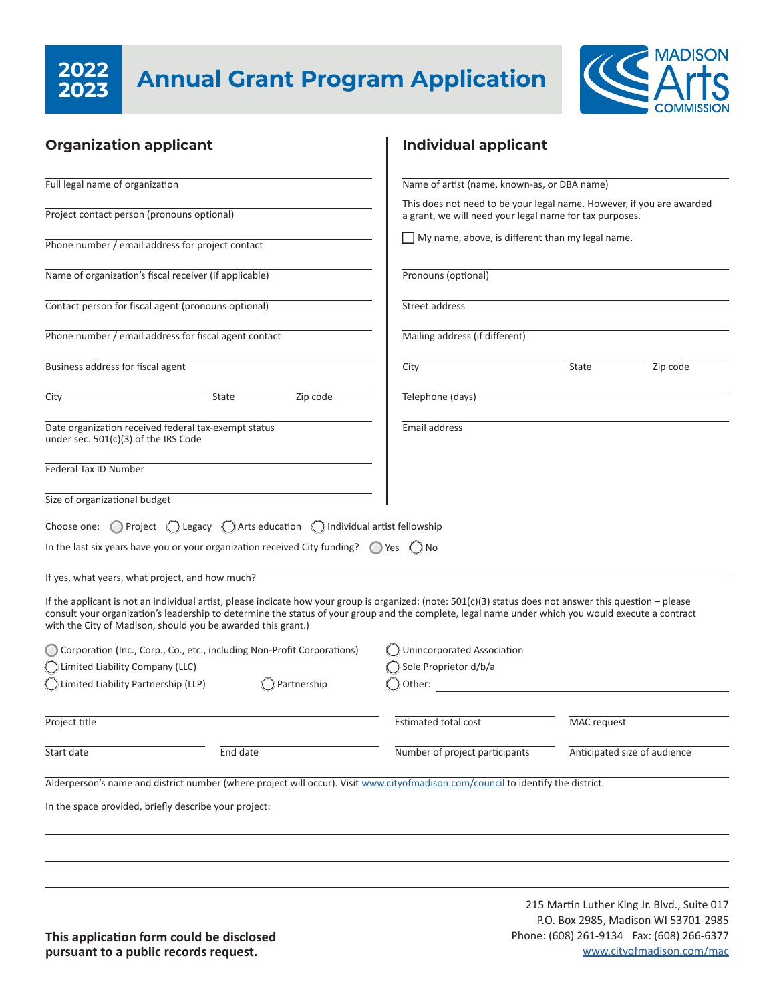# **2023**



| <b>Organization applicant</b>                                                                  |                                                                      | <b>Individual applicant</b>                                                                                                                                                                                                                                                                                       |                                                                                                                                  |          |  |
|------------------------------------------------------------------------------------------------|----------------------------------------------------------------------|-------------------------------------------------------------------------------------------------------------------------------------------------------------------------------------------------------------------------------------------------------------------------------------------------------------------|----------------------------------------------------------------------------------------------------------------------------------|----------|--|
| Full legal name of organization                                                                |                                                                      | Name of artist (name, known-as, or DBA name)                                                                                                                                                                                                                                                                      |                                                                                                                                  |          |  |
| Project contact person (pronouns optional)                                                     |                                                                      |                                                                                                                                                                                                                                                                                                                   | This does not need to be your legal name. However, if you are awarded<br>a grant, we will need your legal name for tax purposes. |          |  |
| Phone number / email address for project contact                                               |                                                                      | My name, above, is different than my legal name.                                                                                                                                                                                                                                                                  |                                                                                                                                  |          |  |
| Name of organization's fiscal receiver (if applicable)                                         |                                                                      | Pronouns (optional)                                                                                                                                                                                                                                                                                               |                                                                                                                                  |          |  |
| Contact person for fiscal agent (pronouns optional)                                            |                                                                      | Street address                                                                                                                                                                                                                                                                                                    |                                                                                                                                  |          |  |
| Phone number / email address for fiscal agent contact                                          |                                                                      | Mailing address (if different)                                                                                                                                                                                                                                                                                    |                                                                                                                                  |          |  |
| Business address for fiscal agent                                                              |                                                                      | City                                                                                                                                                                                                                                                                                                              | State                                                                                                                            | Zip code |  |
| City                                                                                           | State<br>Zip code                                                    | Telephone (days)                                                                                                                                                                                                                                                                                                  |                                                                                                                                  |          |  |
| Date organization received federal tax-exempt status<br>under sec. $501(c)(3)$ of the IRS Code |                                                                      | Email address                                                                                                                                                                                                                                                                                                     |                                                                                                                                  |          |  |
| Federal Tax ID Number                                                                          |                                                                      |                                                                                                                                                                                                                                                                                                                   |                                                                                                                                  |          |  |
| Size of organizational budget                                                                  |                                                                      |                                                                                                                                                                                                                                                                                                                   |                                                                                                                                  |          |  |
| Choose one:                                                                                    | Project ( Legacy ( ) Arts education ( ) Individual artist fellowship |                                                                                                                                                                                                                                                                                                                   |                                                                                                                                  |          |  |
| In the last six years have you or your organization received City funding? $\bigcirc$ Yes      |                                                                      | ( ) No                                                                                                                                                                                                                                                                                                            |                                                                                                                                  |          |  |
| If yes, what years, what project, and how much?                                                |                                                                      |                                                                                                                                                                                                                                                                                                                   |                                                                                                                                  |          |  |
| with the City of Madison, should you be awarded this grant.)                                   |                                                                      | If the applicant is not an individual artist, please indicate how your group is organized: (note: $501(c)(3)$ status does not answer this question – please<br>consult your organization's leadership to determine the status of your group and the complete, legal name under which you would execute a contract |                                                                                                                                  |          |  |
| Corporation (Inc., Corp., Co., etc., including Non-Profit Corporations)                        |                                                                      | Unincorporated Association                                                                                                                                                                                                                                                                                        |                                                                                                                                  |          |  |
| C Limited Liability Company (LLC)                                                              |                                                                      | Sole Proprietor d/b/a                                                                                                                                                                                                                                                                                             |                                                                                                                                  |          |  |
| C Limited Liability Partnership (LLP)                                                          | Partnership                                                          | Other:                                                                                                                                                                                                                                                                                                            |                                                                                                                                  |          |  |
| Project title                                                                                  |                                                                      | Estimated total cost                                                                                                                                                                                                                                                                                              | MAC request                                                                                                                      |          |  |
| Start date                                                                                     | End date                                                             | Number of project participants                                                                                                                                                                                                                                                                                    | Anticipated size of audience                                                                                                     |          |  |
|                                                                                                |                                                                      | Alderperson's name and district number (where project will occur). Visit www.cityofmadison.com/council to identify the district.                                                                                                                                                                                  |                                                                                                                                  |          |  |
| In the space provided, briefly describe your project:                                          |                                                                      |                                                                                                                                                                                                                                                                                                                   |                                                                                                                                  |          |  |
|                                                                                                |                                                                      |                                                                                                                                                                                                                                                                                                                   |                                                                                                                                  |          |  |
|                                                                                                |                                                                      |                                                                                                                                                                                                                                                                                                                   |                                                                                                                                  |          |  |
|                                                                                                |                                                                      |                                                                                                                                                                                                                                                                                                                   |                                                                                                                                  |          |  |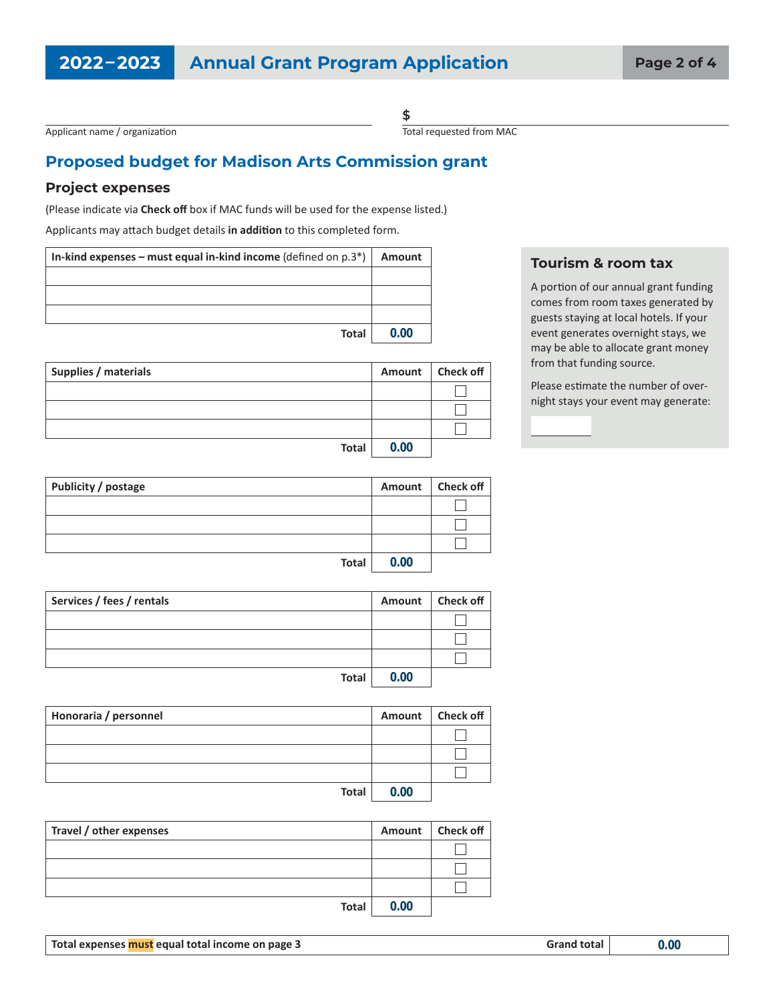Applicant name / organization

**\$** Total requested from MAC

### **Proposed budget for Madison Arts Commission grant**

#### **Project expenses**

(Please indicate via **Check off** box if MAC funds will be used for the expense listed.)

Applicants may attach budget details **in addition** to this completed form.

| In-kind expenses – must equal in-kind income (defined on $p.3^*$ ) | Amount |
|--------------------------------------------------------------------|--------|
|                                                                    |        |
|                                                                    |        |
|                                                                    |        |
| <b>Total</b>                                                       | 0.00   |

| Supplies / materials |      | Amount   Check off |
|----------------------|------|--------------------|
|                      |      |                    |
|                      |      |                    |
|                      |      |                    |
| Total                | 0.00 |                    |

| <b>Tourism &amp; room tax</b> |  |  |
|-------------------------------|--|--|
| A nortion of our onnual cropt |  |  |

A portion of our annual grant funding comes from room taxes generated by guests staying at local hotels. If your event generates overnight stays, we may be able to allocate grant money from that funding source.

Please estimate the number of overnight stays your event may generate:

| Publicity / postage |      | Amount   Check off |
|---------------------|------|--------------------|
|                     |      |                    |
|                     |      |                    |
|                     |      |                    |
| Total               | 0.00 |                    |

| Services / fees / rentals | Amount | Check off |
|---------------------------|--------|-----------|
|                           |        |           |
|                           |        |           |
|                           |        |           |
| <b>Total</b>              | 0.00   |           |

| Honoraria / personnel |      | Amount   Check off |
|-----------------------|------|--------------------|
|                       |      |                    |
|                       |      |                    |
|                       |      |                    |
| <b>Total</b>          | 0.00 |                    |

| Travel / other expenses |      | Amount   Check off |
|-------------------------|------|--------------------|
|                         |      |                    |
|                         |      |                    |
|                         |      |                    |
| <b>Total</b>            | 0.00 |                    |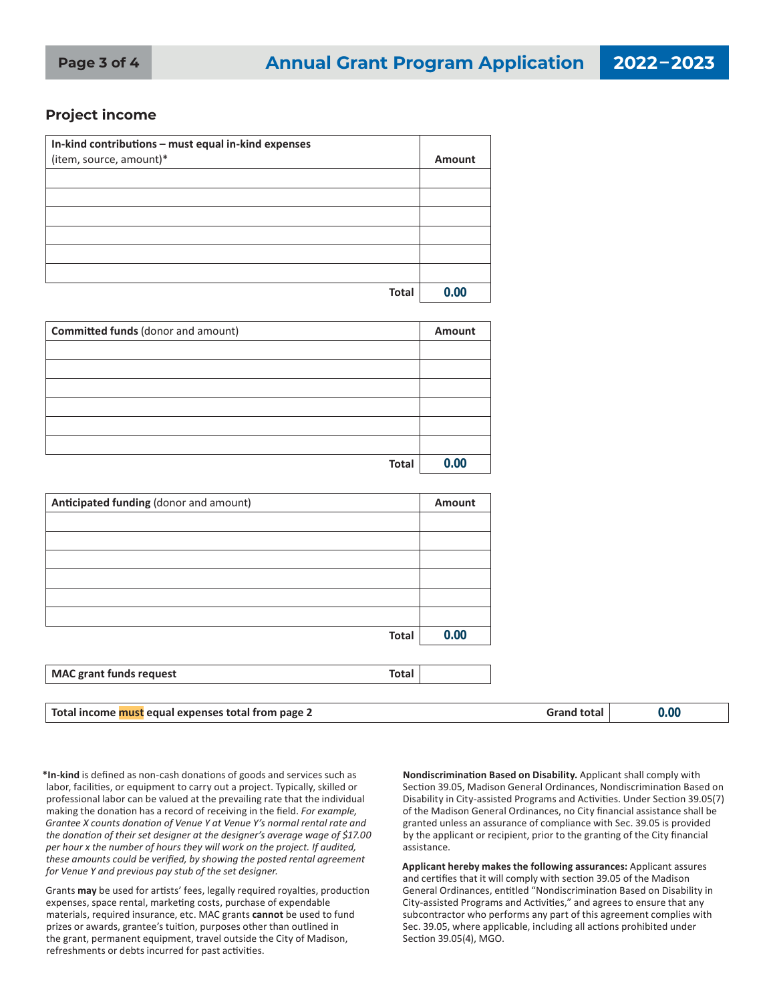#### **Project income**

| In-kind contributions - must equal in-kind expenses |        |
|-----------------------------------------------------|--------|
| (item, source, amount)*                             | Amount |
|                                                     |        |
|                                                     |        |
|                                                     |        |
|                                                     |        |
|                                                     |        |
|                                                     |        |
| <b>Total</b>                                        | 0.00   |

| Committed funds (donor and amount) | Amount |
|------------------------------------|--------|
|                                    |        |
|                                    |        |
|                                    |        |
|                                    |        |
|                                    |        |
|                                    |        |
| <b>Total</b>                       | 0.00   |

| Anticipated funding (donor and amount)         | Amount |
|------------------------------------------------|--------|
|                                                |        |
|                                                |        |
|                                                |        |
|                                                |        |
|                                                |        |
|                                                |        |
| <b>Total</b>                                   | 0.00   |
|                                                |        |
| <b>MAC grant funds request</b><br><b>Total</b> |        |

| Tot.<br>0.OC<br>page<br>:0C<br>nor<br>∣ ⊺r∩m<br>ano<br>equal e:<br>ютаг<br>income<br>33 F.A<br>-xnense<br>wudi<br>___ |  |
|-----------------------------------------------------------------------------------------------------------------------|--|
|-----------------------------------------------------------------------------------------------------------------------|--|

**\*In-kind** is defined as non-cash donations of goods and services such as labor, facilities, or equipment to carry out a project. Typically, skilled or professional labor can be valued at the prevailing rate that the individual making the donation has a record of receiving in the field. *For example, Grantee X counts donation of Venue Y at Venue Y's normal rental rate and the donation of their set designer at the designer's average wage of \$17.00 per hour x the number of hours they will work on the project. If audited, these amounts could be verified, by showing the posted rental agreement for Venue Y and previous pay stub of the set designer.*

Grants **may** be used for artists' fees, legally required royalties, production expenses, space rental, marketing costs, purchase of expendable materials, required insurance, etc. MAC grants **cannot** be used to fund prizes or awards, grantee's tuition, purposes other than outlined in the grant, permanent equipment, travel outside the City of Madison, refreshments or debts incurred for past activities.

**Nondiscrimination Based on Disability.** Applicant shall comply with Section 39.05, Madison General Ordinances, Nondiscrimination Based on Disability in City-assisted Programs and Activities. Under Section 39.05(7) of the Madison General Ordinances, no City financial assistance shall be granted unless an assurance of compliance with Sec. 39.05 is provided by the applicant or recipient, prior to the granting of the City financial assistance.

**Applicant hereby makes the following assurances:** Applicant assures and certifies that it will comply with section 39.05 of the Madison General Ordinances, entitled "Nondiscrimination Based on Disability in City-assisted Programs and Activities," and agrees to ensure that any subcontractor who performs any part of this agreement complies with Sec. 39.05, where applicable, including all actions prohibited under Section 39.05(4), MGO.